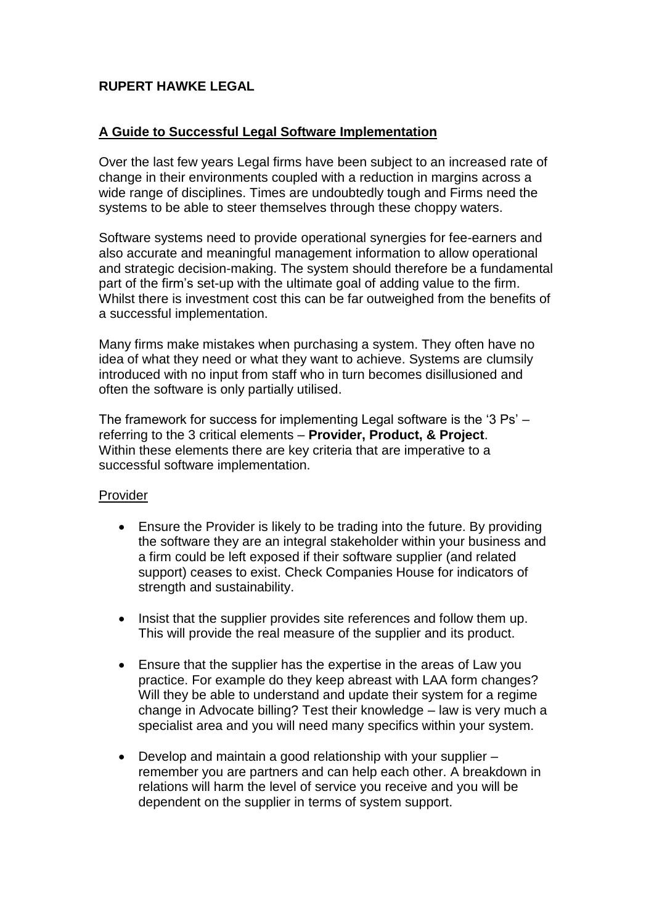# **RUPERT HAWKE LEGAL**

## **A Guide to Successful Legal Software Implementation**

Over the last few years Legal firms have been subject to an increased rate of change in their environments coupled with a reduction in margins across a wide range of disciplines. Times are undoubtedly tough and Firms need the systems to be able to steer themselves through these choppy waters.

Software systems need to provide operational synergies for fee-earners and also accurate and meaningful management information to allow operational and strategic decision-making. The system should therefore be a fundamental part of the firm's set-up with the ultimate goal of adding value to the firm. Whilst there is investment cost this can be far outweighed from the benefits of a successful implementation.

Many firms make mistakes when purchasing a system. They often have no idea of what they need or what they want to achieve. Systems are clumsily introduced with no input from staff who in turn becomes disillusioned and often the software is only partially utilised.

The framework for success for implementing Legal software is the '3 Ps' – referring to the 3 critical elements – **Provider, Product, & Project**. Within these elements there are key criteria that are imperative to a successful software implementation.

### Provider

- Ensure the Provider is likely to be trading into the future. By providing the software they are an integral stakeholder within your business and a firm could be left exposed if their software supplier (and related support) ceases to exist. Check Companies House for indicators of strength and sustainability.
- Insist that the supplier provides site references and follow them up. This will provide the real measure of the supplier and its product.
- Ensure that the supplier has the expertise in the areas of Law you practice. For example do they keep abreast with LAA form changes? Will they be able to understand and update their system for a regime change in Advocate billing? Test their knowledge – law is very much a specialist area and you will need many specifics within your system.
- Develop and maintain a good relationship with your supplier remember you are partners and can help each other. A breakdown in relations will harm the level of service you receive and you will be dependent on the supplier in terms of system support.